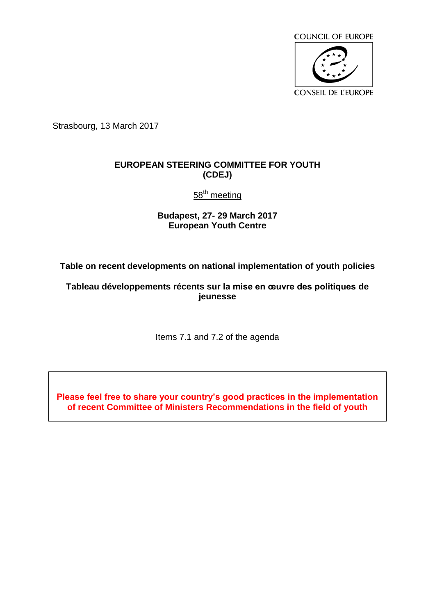

Strasbourg, 13 March 2017

## **EUROPEAN STEERING COMMITTEE FOR YOUTH (CDEJ)**

58<sup>th</sup> meeting

**Budapest, 27- 29 March 2017 European Youth Centre**

**Table on recent developments on national implementation of youth policies**

**Tableau développements récents sur la mise en œuvre des politiques de jeunesse**

Items 7.1 and 7.2 of the agenda

**Please feel free to share your country's good practices in the implementation of recent Committee of Ministers Recommendations in the field of youth**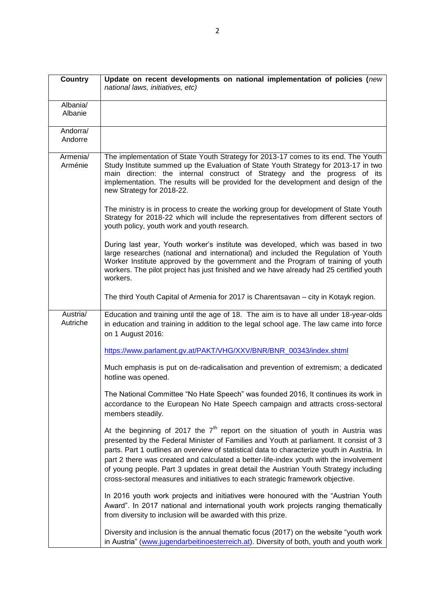| <b>Country</b>       | Update on recent developments on national implementation of policies (new<br>national laws, initiatives, etc)                                                                                                                                                                                                                                                                                                                                                                                                                                    |
|----------------------|--------------------------------------------------------------------------------------------------------------------------------------------------------------------------------------------------------------------------------------------------------------------------------------------------------------------------------------------------------------------------------------------------------------------------------------------------------------------------------------------------------------------------------------------------|
| Albania/<br>Albanie  |                                                                                                                                                                                                                                                                                                                                                                                                                                                                                                                                                  |
| Andorra/<br>Andorre  |                                                                                                                                                                                                                                                                                                                                                                                                                                                                                                                                                  |
| Armenia/<br>Arménie  | The implementation of State Youth Strategy for 2013-17 comes to its end. The Youth<br>Study Institute summed up the Evaluation of State Youth Strategy for 2013-17 in two<br>main direction: the internal construct of Strategy and the progress of its<br>implementation. The results will be provided for the development and design of the<br>new Strategy for 2018-22.                                                                                                                                                                       |
|                      | The ministry is in process to create the working group for development of State Youth<br>Strategy for 2018-22 which will include the representatives from different sectors of<br>youth policy, youth work and youth research.                                                                                                                                                                                                                                                                                                                   |
|                      | During last year, Youth worker's institute was developed, which was based in two<br>large researches (national and international) and included the Regulation of Youth<br>Worker Institute approved by the government and the Program of training of youth<br>workers. The pilot project has just finished and we have already had 25 certified youth<br>workers.                                                                                                                                                                                |
|                      | The third Youth Capital of Armenia for 2017 is Charentsavan - city in Kotayk region.                                                                                                                                                                                                                                                                                                                                                                                                                                                             |
| Austria/<br>Autriche | Education and training until the age of 18. The aim is to have all under 18-year-olds<br>in education and training in addition to the legal school age. The law came into force<br>on 1 August 2016:                                                                                                                                                                                                                                                                                                                                             |
|                      | https://www.parlament.gv.at/PAKT/VHG/XXV/BNR/BNR_00343/index.shtml                                                                                                                                                                                                                                                                                                                                                                                                                                                                               |
|                      | Much emphasis is put on de-radicalisation and prevention of extremism; a dedicated<br>hotline was opened.                                                                                                                                                                                                                                                                                                                                                                                                                                        |
|                      | The National Committee "No Hate Speech" was founded 2016, It continues its work in<br>accordance to the European No Hate Speech campaign and attracts cross-sectoral<br>members steadily.                                                                                                                                                                                                                                                                                                                                                        |
|                      | At the beginning of 2017 the $7th$ report on the situation of youth in Austria was<br>presented by the Federal Minister of Families and Youth at parliament. It consist of 3<br>parts. Part 1 outlines an overview of statistical data to characterize youth in Austria. In<br>part 2 there was created and calculated a better-life-index youth with the involvement<br>of young people. Part 3 updates in great detail the Austrian Youth Strategy including<br>cross-sectoral measures and initiatives to each strategic framework objective. |
|                      | In 2016 youth work projects and initiatives were honoured with the "Austrian Youth<br>Award". In 2017 national and international youth work projects ranging thematically<br>from diversity to inclusion will be awarded with this prize.                                                                                                                                                                                                                                                                                                        |
|                      | Diversity and inclusion is the annual thematic focus (2017) on the website "youth work<br>in Austria" (www.jugendarbeitinoesterreich.at). Diversity of both, youth and youth work                                                                                                                                                                                                                                                                                                                                                                |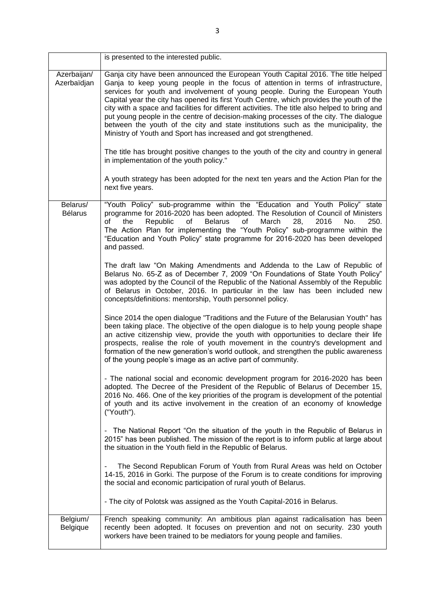|                            | is presented to the interested public.                                                                                                                                                                                                                                                                                                                                                                                                                                                                                                                                                                                                                                                               |
|----------------------------|------------------------------------------------------------------------------------------------------------------------------------------------------------------------------------------------------------------------------------------------------------------------------------------------------------------------------------------------------------------------------------------------------------------------------------------------------------------------------------------------------------------------------------------------------------------------------------------------------------------------------------------------------------------------------------------------------|
| Azerbaijan/<br>Azerbaïdjan | Ganja city have been announced the European Youth Capital 2016. The title helped<br>Ganja to keep young people in the focus of attention in terms of infrastructure,<br>services for youth and involvement of young people. During the European Youth<br>Capital year the city has opened its first Youth Centre, which provides the youth of the<br>city with a space and facilities for different activities. The title also helped to bring and<br>put young people in the centre of decision-making processes of the city. The dialogue<br>between the youth of the city and state institutions such as the municipality, the<br>Ministry of Youth and Sport has increased and got strengthened. |
|                            | The title has brought positive changes to the youth of the city and country in general<br>in implementation of the youth policy."                                                                                                                                                                                                                                                                                                                                                                                                                                                                                                                                                                    |
|                            | A youth strategy has been adopted for the next ten years and the Action Plan for the<br>next five years.                                                                                                                                                                                                                                                                                                                                                                                                                                                                                                                                                                                             |
| Belarus/<br><b>Bélarus</b> | "Youth Policy" sub-programme within the "Education and Youth Policy" state<br>programme for 2016-2020 has been adopted. The Resolution of Council of Ministers<br><b>Belarus</b><br>March<br>the<br>Republic<br>of<br>of<br>28,<br>2016<br>No.<br>250.<br>οf<br>The Action Plan for implementing the "Youth Policy" sub-programme within the<br>"Education and Youth Policy" state programme for 2016-2020 has been developed<br>and passed.                                                                                                                                                                                                                                                         |
|                            | The draft law "On Making Amendments and Addenda to the Law of Republic of<br>Belarus No. 65-Z as of December 7, 2009 "On Foundations of State Youth Policy"<br>was adopted by the Council of the Republic of the National Assembly of the Republic<br>of Belarus in October, 2016. In particular in the law has been included new<br>concepts/definitions: mentorship, Youth personnel policy.                                                                                                                                                                                                                                                                                                       |
|                            | Since 2014 the open dialogue "Traditions and the Future of the Belarusian Youth" has<br>been taking place. The objective of the open dialogue is to help young people shape<br>an active citizenship view, provide the youth with opportunities to declare their life<br>prospects, realise the role of youth movement in the country's development and<br>formation of the new generation's world outlook, and strengthen the public awareness<br>of the young people's image as an active part of community.                                                                                                                                                                                       |
|                            | - The national social and economic development program for 2016-2020 has been<br>adopted. The Decree of the President of the Republic of Belarus of December 15,<br>2016 No. 466. One of the key priorities of the program is development of the potential<br>of youth and its active involvement in the creation of an economy of knowledge<br>("Youth").                                                                                                                                                                                                                                                                                                                                           |
|                            | - The National Report "On the situation of the youth in the Republic of Belarus in<br>2015" has been published. The mission of the report is to inform public at large about<br>the situation in the Youth field in the Republic of Belarus.                                                                                                                                                                                                                                                                                                                                                                                                                                                         |
|                            | The Second Republican Forum of Youth from Rural Areas was held on October<br>14-15, 2016 in Gorki. The purpose of the Forum is to create conditions for improving<br>the social and economic participation of rural youth of Belarus.                                                                                                                                                                                                                                                                                                                                                                                                                                                                |
|                            | - The city of Polotsk was assigned as the Youth Capital-2016 in Belarus.                                                                                                                                                                                                                                                                                                                                                                                                                                                                                                                                                                                                                             |
| Belgium/<br>Belgique       | French speaking community: An ambitious plan against radicalisation has been<br>recently been adopted. It focuses on prevention and not on security. 230 youth<br>workers have been trained to be mediators for young people and families.                                                                                                                                                                                                                                                                                                                                                                                                                                                           |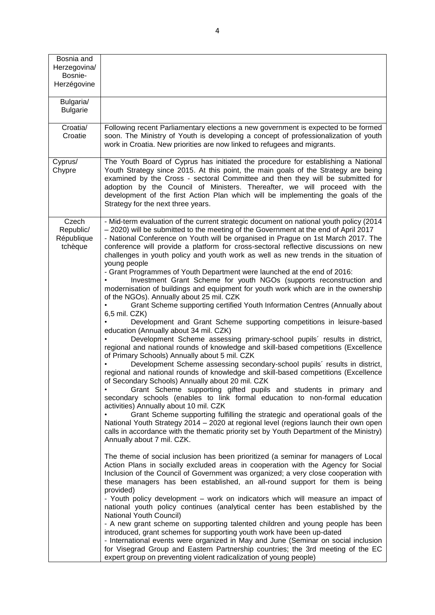| Bosnia and<br>Herzegovina/<br>Bosnie-<br>Herzégovine |                                                                                                                                                                                                                                                                                                                                                                                                                                                                                                                                                                                                                                                                                                                                                                                                                                                                                                                                                                                                                                                                                                                                                                                                                                                                                                                                                                                                                                                                                                                                                                                                                                                                                                                                                                                                                                                                                                                                                                                                                                                                                                                                                                                                                                                                                                                                                                                                                                                                                                                                                                                                                                                |
|------------------------------------------------------|------------------------------------------------------------------------------------------------------------------------------------------------------------------------------------------------------------------------------------------------------------------------------------------------------------------------------------------------------------------------------------------------------------------------------------------------------------------------------------------------------------------------------------------------------------------------------------------------------------------------------------------------------------------------------------------------------------------------------------------------------------------------------------------------------------------------------------------------------------------------------------------------------------------------------------------------------------------------------------------------------------------------------------------------------------------------------------------------------------------------------------------------------------------------------------------------------------------------------------------------------------------------------------------------------------------------------------------------------------------------------------------------------------------------------------------------------------------------------------------------------------------------------------------------------------------------------------------------------------------------------------------------------------------------------------------------------------------------------------------------------------------------------------------------------------------------------------------------------------------------------------------------------------------------------------------------------------------------------------------------------------------------------------------------------------------------------------------------------------------------------------------------------------------------------------------------------------------------------------------------------------------------------------------------------------------------------------------------------------------------------------------------------------------------------------------------------------------------------------------------------------------------------------------------------------------------------------------------------------------------------------------------|
| Bulgaria/<br><b>Bulgarie</b>                         |                                                                                                                                                                                                                                                                                                                                                                                                                                                                                                                                                                                                                                                                                                                                                                                                                                                                                                                                                                                                                                                                                                                                                                                                                                                                                                                                                                                                                                                                                                                                                                                                                                                                                                                                                                                                                                                                                                                                                                                                                                                                                                                                                                                                                                                                                                                                                                                                                                                                                                                                                                                                                                                |
| Croatia/<br>Croatie                                  | Following recent Parliamentary elections a new government is expected to be formed<br>soon. The Ministry of Youth is developing a concept of professionalization of youth<br>work in Croatia. New priorities are now linked to refugees and migrants.                                                                                                                                                                                                                                                                                                                                                                                                                                                                                                                                                                                                                                                                                                                                                                                                                                                                                                                                                                                                                                                                                                                                                                                                                                                                                                                                                                                                                                                                                                                                                                                                                                                                                                                                                                                                                                                                                                                                                                                                                                                                                                                                                                                                                                                                                                                                                                                          |
| Cyprus/<br>Chypre                                    | The Youth Board of Cyprus has initiated the procedure for establishing a National<br>Youth Strategy since 2015. At this point, the main goals of the Strategy are being<br>examined by the Cross - sectoral Committee and then they will be submitted for<br>adoption by the Council of Ministers. Thereafter, we will proceed with the<br>development of the first Action Plan which will be implementing the goals of the<br>Strategy for the next three years.                                                                                                                                                                                                                                                                                                                                                                                                                                                                                                                                                                                                                                                                                                                                                                                                                                                                                                                                                                                                                                                                                                                                                                                                                                                                                                                                                                                                                                                                                                                                                                                                                                                                                                                                                                                                                                                                                                                                                                                                                                                                                                                                                                              |
| Czech<br>Republic/<br>République<br>tchèque          | - Mid-term evaluation of the current strategic document on national youth policy (2014<br>- 2020) will be submitted to the meeting of the Government at the end of April 2017<br>- National Conference on Youth will be organised in Prague on 1st March 2017. The<br>conference will provide a platform for cross-sectoral reflective discussions on new<br>challenges in youth policy and youth work as well as new trends in the situation of<br>young people<br>- Grant Programmes of Youth Department were launched at the end of 2016:<br>Investment Grant Scheme for youth NGOs (supports reconstruction and<br>modernisation of buildings and equipment for youth work which are in the ownership<br>of the NGOs). Annually about 25 mil. CZK<br>Grant Scheme supporting certified Youth Information Centres (Annually about<br>6,5 mil. CZK)<br>Development and Grant Scheme supporting competitions in leisure-based<br>education (Annually about 34 mil. CZK)<br>Development Scheme assessing primary-school pupils' results in district,<br>regional and national rounds of knowledge and skill-based competitions (Excellence<br>of Primary Schools) Annually about 5 mil. CZK<br>Development Scheme assessing secondary-school pupils' results in district,<br>regional and national rounds of knowledge and skill-based competitions (Excellence<br>of Secondary Schools) Annually about 20 mil. CZK<br>Grant Scheme supporting gifted pupils and students in primary and<br>secondary schools (enables to link formal education to non-formal education<br>activities) Annually about 10 mil. CZK<br>Grant Scheme supporting fulfilling the strategic and operational goals of the<br>National Youth Strategy 2014 - 2020 at regional level (regions launch their own open<br>calls in accordance with the thematic priority set by Youth Department of the Ministry)<br>Annually about 7 mil. CZK.<br>The theme of social inclusion has been prioritized (a seminar for managers of Local<br>Action Plans in socially excluded areas in cooperation with the Agency for Social<br>Inclusion of the Council of Government was organized; a very close cooperation with<br>these managers has been established, an all-round support for them is being<br>provided)<br>- Youth policy development – work on indicators which will measure an impact of<br>national youth policy continues (analytical center has been established by the<br>National Youth Council)<br>- A new grant scheme on supporting talented children and young people has been<br>introduced, grant schemes for supporting youth work have been up-dated |
|                                                      | - International events were organized in May and June (Seminar on social inclusion<br>for Visegrad Group and Eastern Partnership countries; the 3rd meeting of the EC<br>expert group on preventing violent radicalization of young people)                                                                                                                                                                                                                                                                                                                                                                                                                                                                                                                                                                                                                                                                                                                                                                                                                                                                                                                                                                                                                                                                                                                                                                                                                                                                                                                                                                                                                                                                                                                                                                                                                                                                                                                                                                                                                                                                                                                                                                                                                                                                                                                                                                                                                                                                                                                                                                                                    |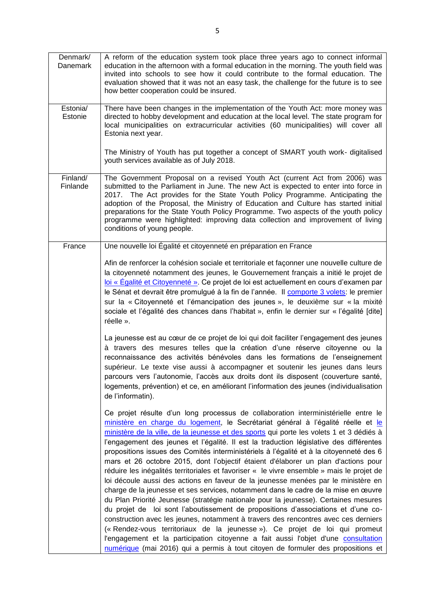| Denmark/<br>Danemark | A reform of the education system took place three years ago to connect informal<br>education in the afternoon with a formal education in the morning. The youth field was<br>invited into schools to see how it could contribute to the formal education. The<br>evaluation showed that it was not an easy task, the challenge for the future is to see<br>how better cooperation could be insured.                                                                                                                                                                                                                                                                                                                                                                                                                                                                                                                                                                                                                                                                                                                                                                                                                                                                                                                                              |
|----------------------|--------------------------------------------------------------------------------------------------------------------------------------------------------------------------------------------------------------------------------------------------------------------------------------------------------------------------------------------------------------------------------------------------------------------------------------------------------------------------------------------------------------------------------------------------------------------------------------------------------------------------------------------------------------------------------------------------------------------------------------------------------------------------------------------------------------------------------------------------------------------------------------------------------------------------------------------------------------------------------------------------------------------------------------------------------------------------------------------------------------------------------------------------------------------------------------------------------------------------------------------------------------------------------------------------------------------------------------------------|
| Estonia/<br>Estonie  | There have been changes in the implementation of the Youth Act: more money was<br>directed to hobby development and education at the local level. The state program for<br>local municipalities on extracurricular activities (60 municipalities) will cover all<br>Estonia next year.                                                                                                                                                                                                                                                                                                                                                                                                                                                                                                                                                                                                                                                                                                                                                                                                                                                                                                                                                                                                                                                           |
|                      | The Ministry of Youth has put together a concept of SMART youth work- digitalised<br>youth services available as of July 2018.                                                                                                                                                                                                                                                                                                                                                                                                                                                                                                                                                                                                                                                                                                                                                                                                                                                                                                                                                                                                                                                                                                                                                                                                                   |
| Finland/<br>Finlande | The Government Proposal on a revised Youth Act (current Act from 2006) was<br>submitted to the Parliament in June. The new Act is expected to enter into force in<br>2017. The Act provides for the State Youth Policy Programme. Anticipating the<br>adoption of the Proposal, the Ministry of Education and Culture has started initial<br>preparations for the State Youth Policy Programme. Two aspects of the youth policy<br>programme were highlighted: improving data collection and improvement of living<br>conditions of young people.                                                                                                                                                                                                                                                                                                                                                                                                                                                                                                                                                                                                                                                                                                                                                                                                |
| France               | Une nouvelle loi Égalité et citoyenneté en préparation en France                                                                                                                                                                                                                                                                                                                                                                                                                                                                                                                                                                                                                                                                                                                                                                                                                                                                                                                                                                                                                                                                                                                                                                                                                                                                                 |
|                      | Afin de renforcer la cohésion sociale et territoriale et façonner une nouvelle culture de<br>la citoyenneté notamment des jeunes, le Gouvernement français a initié le projet de<br>loi « Égalité et Citoyenneté ». Ce projet de loi est actuellement en cours d'examen par<br>le Sénat et devrait être promulgué à la fin de l'année. Il comporte 3 volets: le premier<br>sur la « Citoyenneté et l'émancipation des jeunes », le deuxième sur « la mixité<br>sociale et l'égalité des chances dans l'habitat », enfin le dernier sur « l'égalité [dite]<br>réelle ».<br>La jeunesse est au cœur de ce projet de loi qui doit faciliter l'engagement des jeunes                                                                                                                                                                                                                                                                                                                                                                                                                                                                                                                                                                                                                                                                                 |
|                      | à travers des mesures telles que la création d'une réserve citoyenne ou la<br>reconnaissance des activités bénévoles dans les formations de l'enseignement<br>supérieur. Le texte vise aussi à accompagner et soutenir les jeunes dans leurs<br>parcours vers l'autonomie, l'accès aux droits dont ils disposent (couverture santé,<br>logements, prévention) et ce, en améliorant l'information des jeunes (individualisation<br>de l'informatin).                                                                                                                                                                                                                                                                                                                                                                                                                                                                                                                                                                                                                                                                                                                                                                                                                                                                                              |
|                      | Ce projet résulte d'un long processus de collaboration interministérielle entre le<br>ministère en charge du logement, le Secrétariat général à l'égalité réelle et le<br>ministère de la ville, de la jeunesse et des sports qui porte les volets 1 et 3 dédiés à<br>l'engagement des jeunes et l'égalité. Il est la traduction législative des différentes<br>propositions issues des Comités interministériels à l'égalité et à la citoyenneté des 6<br>mars et 26 octobre 2015, dont l'objectif étaient d'élaborer un plan d'actions pour<br>réduire les inégalités territoriales et favoriser « le vivre ensemble » mais le projet de<br>loi découle aussi des actions en faveur de la jeunesse menées par le ministère en<br>charge de la jeunesse et ses services, notamment dans le cadre de la mise en œuvre<br>du Plan Priorité Jeunesse (stratégie nationale pour la jeunesse). Certaines mesures<br>du projet de loi sont l'aboutissement de propositions d'associations et d'une co-<br>construction avec les jeunes, notamment à travers des rencontres avec ces derniers<br>(« Rendez-vous territoriaux de la jeunesse »). Ce projet de loi qui promeut<br>l'engagement et la participation citoyenne a fait aussi l'objet d'une consultation<br>numérique (mai 2016) qui a permis à tout citoyen de formuler des propositions et |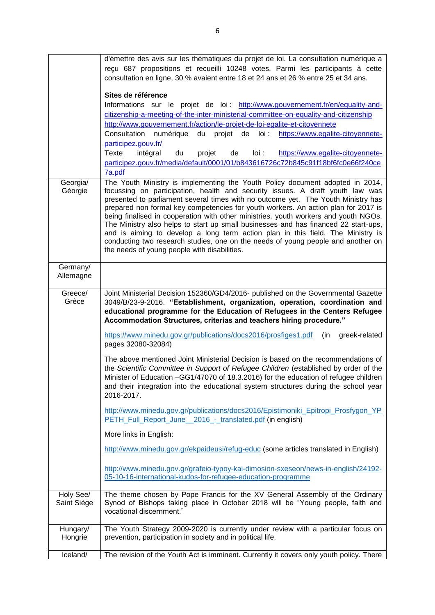|                          | d'émettre des avis sur les thématiques du projet de loi. La consultation numérique a<br>reçu 687 propositions et recueilli 10248 votes. Parmi les participants à cette<br>consultation en ligne, 30 % avaient entre 18 et 24 ans et 26 % entre 25 et 34 ans.<br>Sites de référence                                                                                                                                                                                                                                                                                                                                                                                                                                                             |
|--------------------------|------------------------------------------------------------------------------------------------------------------------------------------------------------------------------------------------------------------------------------------------------------------------------------------------------------------------------------------------------------------------------------------------------------------------------------------------------------------------------------------------------------------------------------------------------------------------------------------------------------------------------------------------------------------------------------------------------------------------------------------------|
|                          | Informations sur le projet de loi : http://www.gouvernement.fr/en/equality-and-<br>citizenship-a-meeting-of-the-inter-ministerial-committee-on-equality-and-citizenship<br>http://www.gouvernement.fr/action/le-projet-de-loi-egalite-et-citoyennete<br>https://www.egalite-citoyennete-<br>Consultation numérique<br>du<br>projet de<br>$I$ oi:<br>participez.gouv.fr/                                                                                                                                                                                                                                                                                                                                                                        |
|                          | intégral<br>Texte<br>du<br>de<br>$I$ oi:<br>https://www.egalite-citoyennete-<br>projet<br>participez.gouv.fr/media/default/0001/01/b843616726c72b845c91f18bf6fc0e66f240ce<br>7a.pdf                                                                                                                                                                                                                                                                                                                                                                                                                                                                                                                                                            |
| Georgia/<br>Géorgie      | The Youth Ministry is implementing the Youth Policy document adopted in 2014,<br>focussing on participation, health and security issues. A draft youth law was<br>presented to parliament several times with no outcome yet. The Youth Ministry has<br>prepared non formal key competencies for youth workers. An action plan for 2017 is<br>being finalised in cooperation with other ministries, youth workers and youth NGOs.<br>The Ministry also helps to start up small businesses and has financed 22 start-ups,<br>and is aiming to develop a long term action plan in this field. The Ministry is<br>conducting two research studies, one on the needs of young people and another on<br>the needs of young people with disabilities. |
| Germany/<br>Allemagne    |                                                                                                                                                                                                                                                                                                                                                                                                                                                                                                                                                                                                                                                                                                                                                |
| Greece/<br>Grèce         | Joint Ministerial Decision 152360/GD4/2016- published on the Governmental Gazette<br>3049/B/23-9-2016. "Establishment, organization, operation, coordination and<br>educational programme for the Education of Refugees in the Centers Refugee<br>Accommodation Structures, criterias and teachers hiring procedure."                                                                                                                                                                                                                                                                                                                                                                                                                          |
|                          | https://www.minedu.gov.gr/publications/docs2016/prosfiges1.pdf<br>(in<br>greek-related<br>pages 32080-32084)                                                                                                                                                                                                                                                                                                                                                                                                                                                                                                                                                                                                                                   |
|                          | The above mentioned Joint Ministerial Decision is based on the recommendations of<br>the Scientific Committee in Support of Refugee Children (established by order of the<br>Minister of Education -GG1/47070 of 18.3.2016) for the education of refugee children<br>and their integration into the educational system structures during the school year<br>2016-2017.                                                                                                                                                                                                                                                                                                                                                                         |
|                          | http://www.minedu.gov.gr/publications/docs2016/Epistimoniki_Epitropi_Prosfygon_YP<br>PETH_Full_Report_June_<br>2016 - translated.pdf (in english)                                                                                                                                                                                                                                                                                                                                                                                                                                                                                                                                                                                              |
|                          | More links in English:                                                                                                                                                                                                                                                                                                                                                                                                                                                                                                                                                                                                                                                                                                                         |
|                          | http://www.minedu.gov.gr/ekpaideusi/refug-educ (some articles translated in English)                                                                                                                                                                                                                                                                                                                                                                                                                                                                                                                                                                                                                                                           |
|                          | http://www.minedu.gov.gr/grafeio-typoy-kai-dimosion-sxeseon/news-in-english/24192-<br>05-10-16-international-kudos-for-refugee-education-programme                                                                                                                                                                                                                                                                                                                                                                                                                                                                                                                                                                                             |
| Holy See/<br>Saint Siège | The theme chosen by Pope Francis for the XV General Assembly of the Ordinary<br>Synod of Bishops taking place in October 2018 will be "Young people, faith and<br>vocational discernment."                                                                                                                                                                                                                                                                                                                                                                                                                                                                                                                                                     |
| Hungary/<br>Hongrie      | The Youth Strategy 2009-2020 is currently under review with a particular focus on<br>prevention, participation in society and in political life.                                                                                                                                                                                                                                                                                                                                                                                                                                                                                                                                                                                               |
| Iceland/                 | The revision of the Youth Act is imminent. Currently it covers only youth policy. There                                                                                                                                                                                                                                                                                                                                                                                                                                                                                                                                                                                                                                                        |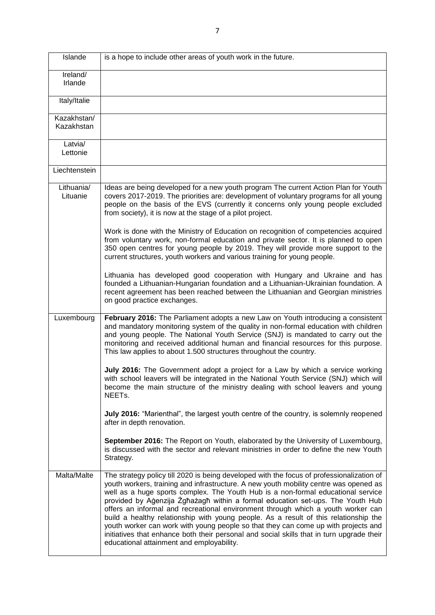| Islande                   | is a hope to include other areas of youth work in the future.                                                                                                                                                                                                                                                                                                                                                                                                                                                                                                                                                                                                                                                                                                        |
|---------------------------|----------------------------------------------------------------------------------------------------------------------------------------------------------------------------------------------------------------------------------------------------------------------------------------------------------------------------------------------------------------------------------------------------------------------------------------------------------------------------------------------------------------------------------------------------------------------------------------------------------------------------------------------------------------------------------------------------------------------------------------------------------------------|
| Ireland/<br>Irlande       |                                                                                                                                                                                                                                                                                                                                                                                                                                                                                                                                                                                                                                                                                                                                                                      |
| Italy/Italie              |                                                                                                                                                                                                                                                                                                                                                                                                                                                                                                                                                                                                                                                                                                                                                                      |
| Kazakhstan/<br>Kazakhstan |                                                                                                                                                                                                                                                                                                                                                                                                                                                                                                                                                                                                                                                                                                                                                                      |
| Latvia/<br>Lettonie       |                                                                                                                                                                                                                                                                                                                                                                                                                                                                                                                                                                                                                                                                                                                                                                      |
| Liechtenstein             |                                                                                                                                                                                                                                                                                                                                                                                                                                                                                                                                                                                                                                                                                                                                                                      |
| Lithuania/<br>Lituanie    | Ideas are being developed for a new youth program The current Action Plan for Youth<br>covers 2017-2019. The priorities are: development of voluntary programs for all young<br>people on the basis of the EVS (currently it concerns only young people excluded<br>from society), it is now at the stage of a pilot project.                                                                                                                                                                                                                                                                                                                                                                                                                                        |
|                           | Work is done with the Ministry of Education on recognition of competencies acquired<br>from voluntary work, non-formal education and private sector. It is planned to open<br>350 open centres for young people by 2019. They will provide more support to the<br>current structures, youth workers and various training for young people.                                                                                                                                                                                                                                                                                                                                                                                                                           |
|                           | Lithuania has developed good cooperation with Hungary and Ukraine and has<br>founded a Lithuanian-Hungarian foundation and a Lithuanian-Ukrainian foundation. A<br>recent agreement has been reached between the Lithuanian and Georgian ministries<br>on good practice exchanges.                                                                                                                                                                                                                                                                                                                                                                                                                                                                                   |
| Luxembourg                | February 2016: The Parliament adopts a new Law on Youth introducing a consistent<br>and mandatory monitoring system of the quality in non-formal education with children<br>and young people. The National Youth Service (SNJ) is mandated to carry out the<br>monitoring and received additional human and financial resources for this purpose.<br>This law applies to about 1.500 structures throughout the country.                                                                                                                                                                                                                                                                                                                                              |
|                           | July 2016: The Government adopt a project for a Law by which a service working<br>with school leavers will be integrated in the National Youth Service (SNJ) which will<br>become the main structure of the ministry dealing with school leavers and young<br>NEET <sub>s.</sub>                                                                                                                                                                                                                                                                                                                                                                                                                                                                                     |
|                           | July 2016: "Marienthal", the largest youth centre of the country, is solemnly reopened<br>after in depth renovation.                                                                                                                                                                                                                                                                                                                                                                                                                                                                                                                                                                                                                                                 |
|                           | September 2016: The Report on Youth, elaborated by the University of Luxembourg,<br>is discussed with the sector and relevant ministries in order to define the new Youth<br>Strategy.                                                                                                                                                                                                                                                                                                                                                                                                                                                                                                                                                                               |
| Malta/Malte               | The strategy policy till 2020 is being developed with the focus of professionalization of<br>youth workers, training and infrastructure. A new youth mobility centre was opened as<br>well as a huge sports complex. The Youth Hub is a non-formal educational service<br>provided by Agenzija Zgħażagħ within a formal education set-ups. The Youth Hub<br>offers an informal and recreational environment through which a youth worker can<br>build a healthy relationship with young people. As a result of this relationship the<br>youth worker can work with young people so that they can come up with projects and<br>initiatives that enhance both their personal and social skills that in turn upgrade their<br>educational attainment and employability. |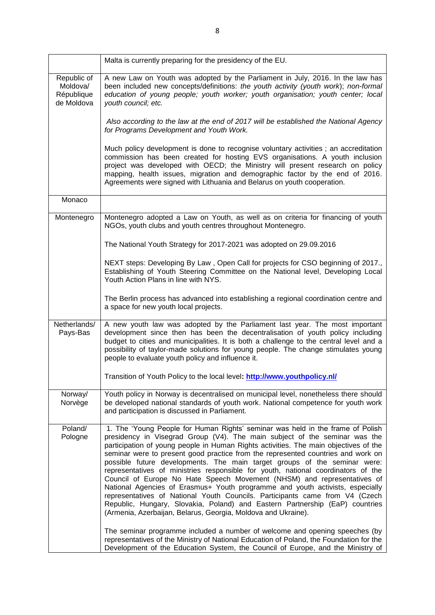|                                                     | Malta is currently preparing for the presidency of the EU.                                                                                                                                                                                                                                                                                                                                                                                                                                                                                                                                                                                                                                                                                                                                                                                                                                                                                                                             |
|-----------------------------------------------------|----------------------------------------------------------------------------------------------------------------------------------------------------------------------------------------------------------------------------------------------------------------------------------------------------------------------------------------------------------------------------------------------------------------------------------------------------------------------------------------------------------------------------------------------------------------------------------------------------------------------------------------------------------------------------------------------------------------------------------------------------------------------------------------------------------------------------------------------------------------------------------------------------------------------------------------------------------------------------------------|
| Republic of<br>Moldova/<br>République<br>de Moldova | A new Law on Youth was adopted by the Parliament in July, 2016. In the law has<br>been included new concepts/definitions: the youth activity (youth work); non-formal<br>education of young people; youth worker; youth organisation; youth center; local<br>youth council; etc.                                                                                                                                                                                                                                                                                                                                                                                                                                                                                                                                                                                                                                                                                                       |
|                                                     | Also according to the law at the end of 2017 will be established the National Agency<br>for Programs Development and Youth Work.                                                                                                                                                                                                                                                                                                                                                                                                                                                                                                                                                                                                                                                                                                                                                                                                                                                       |
|                                                     | Much policy development is done to recognise voluntary activities; an accreditation<br>commission has been created for hosting EVS organisations. A youth inclusion<br>project was developed with OECD; the Ministry will present research on policy<br>mapping, health issues, migration and demographic factor by the end of 2016.<br>Agreements were signed with Lithuania and Belarus on youth cooperation.                                                                                                                                                                                                                                                                                                                                                                                                                                                                                                                                                                        |
| Monaco                                              |                                                                                                                                                                                                                                                                                                                                                                                                                                                                                                                                                                                                                                                                                                                                                                                                                                                                                                                                                                                        |
| Montenegro                                          | Montenegro adopted a Law on Youth, as well as on criteria for financing of youth<br>NGOs, youth clubs and youth centres throughout Montenegro.                                                                                                                                                                                                                                                                                                                                                                                                                                                                                                                                                                                                                                                                                                                                                                                                                                         |
|                                                     | The National Youth Strategy for 2017-2021 was adopted on 29.09.2016                                                                                                                                                                                                                                                                                                                                                                                                                                                                                                                                                                                                                                                                                                                                                                                                                                                                                                                    |
|                                                     | NEXT steps: Developing By Law, Open Call for projects for CSO beginning of 2017.,<br>Establishing of Youth Steering Committee on the National level, Developing Local<br>Youth Action Plans in line with NYS.                                                                                                                                                                                                                                                                                                                                                                                                                                                                                                                                                                                                                                                                                                                                                                          |
|                                                     | The Berlin process has advanced into establishing a regional coordination centre and<br>a space for new youth local projects.                                                                                                                                                                                                                                                                                                                                                                                                                                                                                                                                                                                                                                                                                                                                                                                                                                                          |
| Netherlands/<br>Pays-Bas                            | A new youth law was adopted by the Parliament last year. The most important<br>development since then has been the decentralisation of youth policy including<br>budget to cities and municipalities. It is both a challenge to the central level and a<br>possibility of taylor-made solutions for young people. The change stimulates young<br>people to evaluate youth policy and influence it.                                                                                                                                                                                                                                                                                                                                                                                                                                                                                                                                                                                     |
|                                                     | Transition of Youth Policy to the local level: http://www.youthpolicy.nl/                                                                                                                                                                                                                                                                                                                                                                                                                                                                                                                                                                                                                                                                                                                                                                                                                                                                                                              |
| Norway/<br>Norvège                                  | Youth policy in Norway is decentralised on municipal level, nonetheless there should<br>be developed national standards of youth work. National competence for youth work<br>and participation is discussed in Parliament.                                                                                                                                                                                                                                                                                                                                                                                                                                                                                                                                                                                                                                                                                                                                                             |
| Poland/<br>Pologne                                  | 1. The 'Young People for Human Rights' seminar was held in the frame of Polish<br>presidency in Visegrad Group (V4). The main subject of the seminar was the<br>participation of young people in Human Rights activities. The main objectives of the<br>seminar were to present good practice from the represented countries and work on<br>possible future developments. The main target groups of the seminar were:<br>representatives of ministries responsible for youth, national coordinators of the<br>Council of Europe No Hate Speech Movement (NHSM) and representatives of<br>National Agencies of Erasmus+ Youth programme and youth activists, especially<br>representatives of National Youth Councils. Participants came from V4 (Czech<br>Republic, Hungary, Slovakia, Poland) and Eastern Partnership (EaP) countries<br>(Armenia, Azerbaijan, Belarus, Georgia, Moldova and Ukraine).<br>The seminar programme included a number of welcome and opening speeches (by |
|                                                     | representatives of the Ministry of National Education of Poland, the Foundation for the<br>Development of the Education System, the Council of Europe, and the Ministry of                                                                                                                                                                                                                                                                                                                                                                                                                                                                                                                                                                                                                                                                                                                                                                                                             |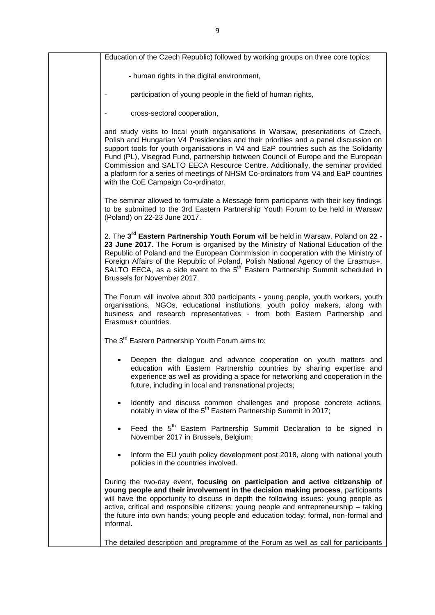| Education of the Czech Republic) followed by working groups on three core topics:                                                                                                                                                                                                                                                                                                                                                                                                                                                                                  |
|--------------------------------------------------------------------------------------------------------------------------------------------------------------------------------------------------------------------------------------------------------------------------------------------------------------------------------------------------------------------------------------------------------------------------------------------------------------------------------------------------------------------------------------------------------------------|
| - human rights in the digital environment,                                                                                                                                                                                                                                                                                                                                                                                                                                                                                                                         |
| participation of young people in the field of human rights,                                                                                                                                                                                                                                                                                                                                                                                                                                                                                                        |
| cross-sectoral cooperation,                                                                                                                                                                                                                                                                                                                                                                                                                                                                                                                                        |
| and study visits to local youth organisations in Warsaw, presentations of Czech,<br>Polish and Hungarian V4 Presidencies and their priorities and a panel discussion on<br>support tools for youth organisations in V4 and EaP countries such as the Solidarity<br>Fund (PL), Visegrad Fund, partnership between Council of Europe and the European<br>Commission and SALTO EECA Resource Centre. Additionally, the seminar provided<br>a platform for a series of meetings of NHSM Co-ordinators from V4 and EaP countries<br>with the CoE Campaign Co-ordinator. |
| The seminar allowed to formulate a Message form participants with their key findings<br>to be submitted to the 3rd Eastern Partnership Youth Forum to be held in Warsaw<br>(Poland) on 22-23 June 2017.                                                                                                                                                                                                                                                                                                                                                            |
| 2. The 3 <sup>rd</sup> Eastern Partnership Youth Forum will be held in Warsaw, Poland on 22 -<br>23 June 2017. The Forum is organised by the Ministry of National Education of the<br>Republic of Poland and the European Commission in cooperation with the Ministry of<br>Foreign Affairs of the Republic of Poland, Polish National Agency of the Erasmus+,<br>SALTO EECA, as a side event to the 5 <sup>th</sup> Eastern Partnership Summit scheduled in<br>Brussels for November 2017.                                                                        |
| The Forum will involve about 300 participants - young people, youth workers, youth<br>organisations, NGOs, educational institutions, youth policy makers, along with<br>business and research representatives - from both Eastern Partnership and<br>Erasmus+ countries.                                                                                                                                                                                                                                                                                           |
| The 3 <sup>rd</sup> Eastern Partnership Youth Forum aims to:                                                                                                                                                                                                                                                                                                                                                                                                                                                                                                       |
| Deepen the dialogue and advance cooperation on youth matters and<br>education with Eastern Partnership countries by sharing expertise and<br>experience as well as providing a space for networking and cooperation in the<br>future, including in local and transnational projects;                                                                                                                                                                                                                                                                               |
| Identify and discuss common challenges and propose concrete actions,<br>$\bullet$<br>notably in view of the 5 <sup>th</sup> Eastern Partnership Summit in 2017;                                                                                                                                                                                                                                                                                                                                                                                                    |
| Feed the 5 <sup>th</sup> Eastern Partnership Summit Declaration to be signed in<br>November 2017 in Brussels, Belgium;                                                                                                                                                                                                                                                                                                                                                                                                                                             |
| Inform the EU youth policy development post 2018, along with national youth<br>policies in the countries involved.                                                                                                                                                                                                                                                                                                                                                                                                                                                 |
| During the two-day event, focusing on participation and active citizenship of<br>young people and their involvement in the decision making process, participants<br>will have the opportunity to discuss in depth the following issues: young people as<br>active, critical and responsible citizens; young people and entrepreneurship - taking<br>the future into own hands; young people and education today: formal, non-formal and<br>informal.                                                                                                               |
| The detailed description and programme of the Forum as well as call for participants                                                                                                                                                                                                                                                                                                                                                                                                                                                                               |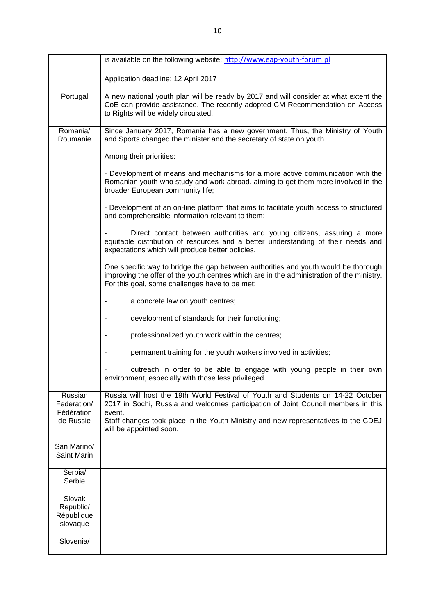|                                               | is available on the following website: http://www.eap-youth-forum.pl                                                                                                                                                              |
|-----------------------------------------------|-----------------------------------------------------------------------------------------------------------------------------------------------------------------------------------------------------------------------------------|
|                                               | Application deadline: 12 April 2017                                                                                                                                                                                               |
| Portugal                                      | A new national youth plan will be ready by 2017 and will consider at what extent the<br>CoE can provide assistance. The recently adopted CM Recommendation on Access<br>to Rights will be widely circulated.                      |
| Romania/<br>Roumanie                          | Since January 2017, Romania has a new government. Thus, the Ministry of Youth<br>and Sports changed the minister and the secretary of state on youth.                                                                             |
|                                               | Among their priorities:                                                                                                                                                                                                           |
|                                               | - Development of means and mechanisms for a more active communication with the<br>Romanian youth who study and work abroad, aiming to get them more involved in the<br>broader European community life;                           |
|                                               | - Development of an on-line platform that aims to facilitate youth access to structured<br>and comprehensible information relevant to them;                                                                                       |
|                                               | Direct contact between authorities and young citizens, assuring a more<br>equitable distribution of resources and a better understanding of their needs and<br>expectations which will produce better policies.                   |
|                                               | One specific way to bridge the gap between authorities and youth would be thorough<br>improving the offer of the youth centres which are in the administration of the ministry.<br>For this goal, some challenges have to be met: |
|                                               | a concrete law on youth centres;                                                                                                                                                                                                  |
|                                               | development of standards for their functioning;                                                                                                                                                                                   |
|                                               | professionalized youth work within the centres;                                                                                                                                                                                   |
|                                               | permanent training for the youth workers involved in activities;                                                                                                                                                                  |
|                                               | outreach in order to be able to engage with young people in their own<br>environment, especially with those less privileged.                                                                                                      |
| Russian<br>Federation/<br>Fédération          | Russia will host the 19th World Festival of Youth and Students on 14-22 October<br>2017 in Sochi, Russia and welcomes participation of Joint Council members in this<br>event.                                                    |
| de Russie                                     | Staff changes took place in the Youth Ministry and new representatives to the CDEJ<br>will be appointed soon.                                                                                                                     |
| San Marino/<br>Saint Marin                    |                                                                                                                                                                                                                                   |
| Serbia/<br>Serbie                             |                                                                                                                                                                                                                                   |
| Slovak<br>Republic/<br>République<br>slovaque |                                                                                                                                                                                                                                   |
| Slovenia/                                     |                                                                                                                                                                                                                                   |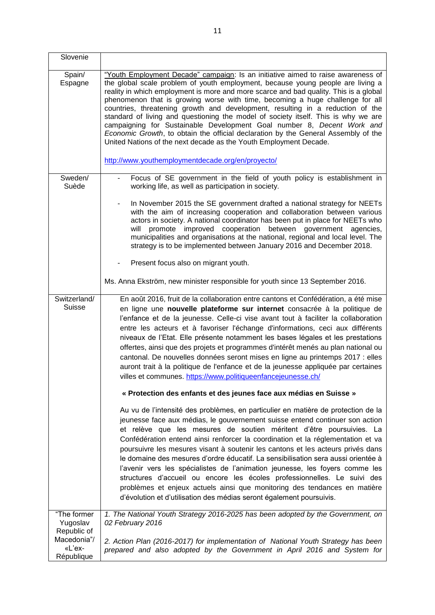| Slovenie                                           |                                                                                                                                                                                                                                                                                                                                                                                                                                                                                                                                                                                                                                                                                                                                                                                                                       |
|----------------------------------------------------|-----------------------------------------------------------------------------------------------------------------------------------------------------------------------------------------------------------------------------------------------------------------------------------------------------------------------------------------------------------------------------------------------------------------------------------------------------------------------------------------------------------------------------------------------------------------------------------------------------------------------------------------------------------------------------------------------------------------------------------------------------------------------------------------------------------------------|
| Spain/<br>Espagne                                  | "Youth Employment Decade" campaign: Is an initiative aimed to raise awareness of<br>the global scale problem of youth employment, because young people are living a<br>reality in which employment is more and more scarce and bad quality. This is a global<br>phenomenon that is growing worse with time, becoming a huge challenge for all<br>countries, threatening growth and development, resulting in a reduction of the<br>standard of living and questioning the model of society itself. This is why we are<br>campaigning for Sustainable Development Goal number 8, Decent Work and<br>Economic Growth, to obtain the official declaration by the General Assembly of the<br>United Nations of the next decade as the Youth Employment Decade.                                                            |
|                                                    | http://www.youthemploymentdecade.org/en/proyecto/                                                                                                                                                                                                                                                                                                                                                                                                                                                                                                                                                                                                                                                                                                                                                                     |
| Sweden/<br>Suède                                   | Focus of SE government in the field of youth policy is establishment in<br>working life, as well as participation in society.                                                                                                                                                                                                                                                                                                                                                                                                                                                                                                                                                                                                                                                                                         |
|                                                    | In November 2015 the SE government drafted a national strategy for NEETs<br>with the aim of increasing cooperation and collaboration between various<br>actors in society. A national coordinator has been put in place for NEETs who<br>promote improved cooperation between government agencies,<br>will<br>municipalities and organisations at the national, regional and local level. The<br>strategy is to be implemented between January 2016 and December 2018.                                                                                                                                                                                                                                                                                                                                                |
|                                                    | Present focus also on migrant youth.                                                                                                                                                                                                                                                                                                                                                                                                                                                                                                                                                                                                                                                                                                                                                                                  |
|                                                    | Ms. Anna Ekström, new minister responsible for youth since 13 September 2016.                                                                                                                                                                                                                                                                                                                                                                                                                                                                                                                                                                                                                                                                                                                                         |
| Switzerland/<br><b>Suisse</b>                      | En août 2016, fruit de la collaboration entre cantons et Confédération, a été mise<br>en ligne une nouvelle plateforme sur internet consacrée à la politique de<br>l'enfance et de la jeunesse. Celle-ci vise avant tout à faciliter la collaboration<br>entre les acteurs et à favoriser l'échange d'informations, ceci aux différents<br>niveaux de l'Etat. Elle présente notamment les bases légales et les prestations<br>offertes, ainsi que des projets et programmes d'intérêt menés au plan national ou<br>cantonal. De nouvelles données seront mises en ligne au printemps 2017 : elles<br>auront trait à la politique de l'enfance et de la jeunesse appliquée par certaines<br>villes et communes. https://www.politiqueenfancejeunesse.ch/                                                               |
|                                                    | « Protection des enfants et des jeunes face aux médias en Suisse »                                                                                                                                                                                                                                                                                                                                                                                                                                                                                                                                                                                                                                                                                                                                                    |
|                                                    | Au vu de l'intensité des problèmes, en particulier en matière de protection de la<br>jeunesse face aux médias, le gouvernement suisse entend continuer son action<br>et relève que les mesures de soutien méritent d'être poursuivies. La<br>Confédération entend ainsi renforcer la coordination et la réglementation et va<br>poursuivre les mesures visant à soutenir les cantons et les acteurs privés dans<br>le domaine des mesures d'ordre éducatif. La sensibilisation sera aussi orientée à<br>l'avenir vers les spécialistes de l'animation jeunesse, les foyers comme les<br>structures d'accueil ou encore les écoles professionnelles. Le suivi des<br>problèmes et enjeux actuels ainsi que monitoring des tendances en matière<br>d'évolution et d'utilisation des médias seront également poursuivis. |
| "The former<br>Yugoslav                            | 1. The National Youth Strategy 2016-2025 has been adopted by the Government, on<br>02 February 2016                                                                                                                                                                                                                                                                                                                                                                                                                                                                                                                                                                                                                                                                                                                   |
| Republic of<br>Macedonia"/<br>«L'ex-<br>République | 2. Action Plan (2016-2017) for implementation of National Youth Strategy has been<br>prepared and also adopted by the Government in April 2016 and System for                                                                                                                                                                                                                                                                                                                                                                                                                                                                                                                                                                                                                                                         |